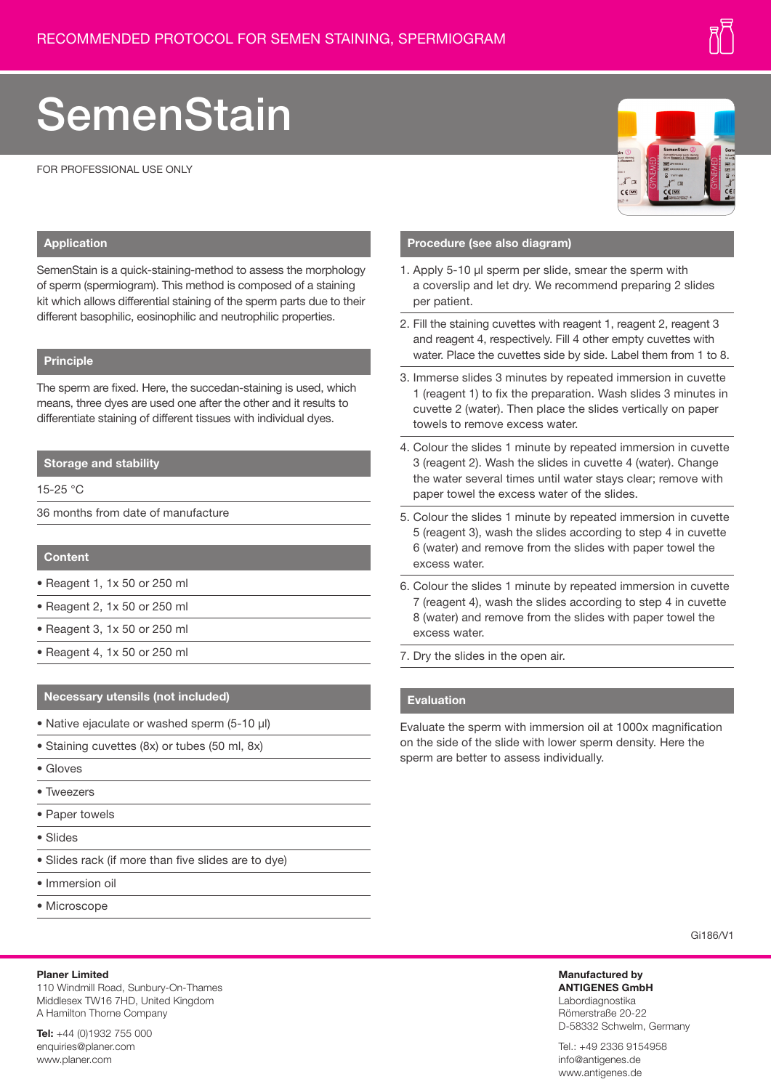# **SemenStain**

FOR PROFESSIONAL USE ONLY



#### **Application**

SemenStain is a quick-staining-method to assess the morphology of sperm (spermiogram). This method is composed of a staining kit which allows differential staining of the sperm parts due to their different basophilic, eosinophilic and neutrophilic properties.

### **Principle**

The sperm are fixed. Here, the succedan-staining is used, which means, three dyes are used one after the other and it results to differentiate staining of different tissues with individual dyes.

#### **Storage and stability**

15-25 °C

36 months from date of manufacture

#### **Content**

- Reagent 1, 1x 50 or 250 ml
- Reagent 2, 1x 50 or 250 ml
- Reagent 3, 1x 50 or 250 ml
- Reagent 4, 1x 50 or 250 ml

#### **Necessary utensils (not included)**

- Native ejaculate or washed sperm (5-10 µl)
- Staining cuvettes (8x) or tubes (50 ml, 8x)
- Gloves
- Tweezers
- Paper towels
- Slides
- Slides rack (if more than five slides are to dye)
- Immersion oil
- Microscope

## Gi186/V1

**Manufactured by ANTIGENES GmbH** Labordiagnostika Römerstraße 20-22 D-58332 Schwelm, Germany

Tel.: +49 2336 9154958 info@antigenes.de www.antigenes.de

#### **Planer Limited**

110 Windmill Road, Sunbury-On-Thames Middlesex TW16 7HD, United Kingdom A Hamilton Thorne Company

**Tel:** +44 (0)1932 755 000 enquiries@planer.com www.planer.com

#### **Procedure (see also diagram)**

- 1. Apply 5-10 µl sperm per slide, smear the sperm with a coverslip and let dry. We recommend preparing 2 slides per patient.
- 2. Fill the staining cuvettes with reagent 1, reagent 2, reagent 3 and reagent 4, respectively. Fill 4 other empty cuvettes with water. Place the cuvettes side by side. Label them from 1 to 8.
- 3. Immerse slides 3 minutes by repeated immersion in cuvette 1 (reagent 1) to fix the preparation. Wash slides 3 minutes in cuvette 2 (water). Then place the slides vertically on paper towels to remove excess water.
- 4. Colour the slides 1 minute by repeated immersion in cuvette 3 (reagent 2). Wash the slides in cuvette 4 (water). Change the water several times until water stays clear; remove with paper towel the excess water of the slides.
- 5. Colour the slides 1 minute by repeated immersion in cuvette 5 (reagent 3), wash the slides according to step 4 in cuvette 6 (water) and remove from the slides with paper towel the excess water.
- 6. Colour the slides 1 minute by repeated immersion in cuvette 7 (reagent 4), wash the slides according to step 4 in cuvette 8 (water) and remove from the slides with paper towel the excess water.
- 7. Dry the slides in the open air.

#### **Evaluation**

Evaluate the sperm with immersion oil at 1000x magnification on the side of the slide with lower sperm density. Here the sperm are better to assess individually.